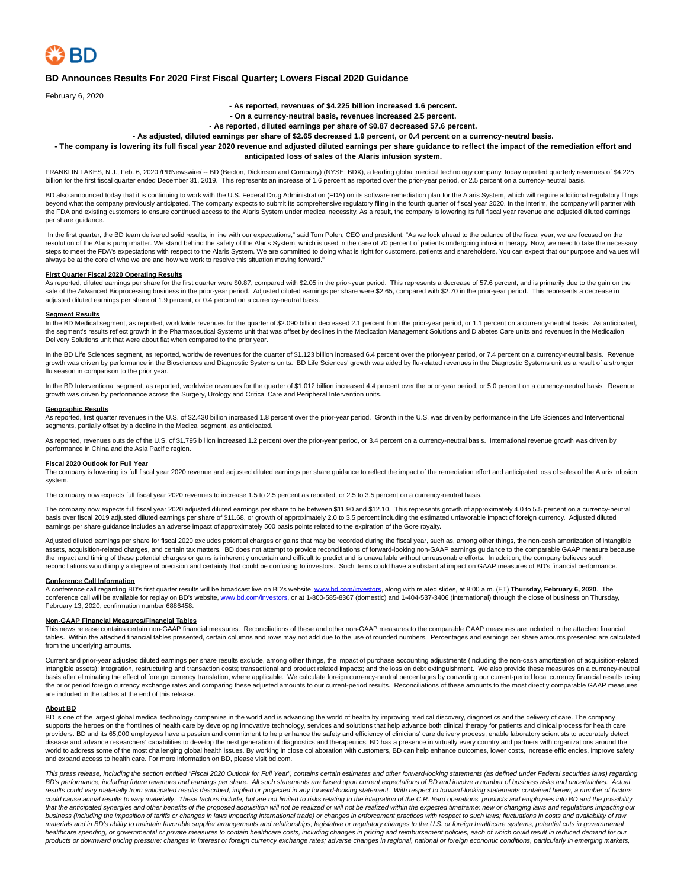

# **BD Announces Results For 2020 First Fiscal Quarter; Lowers Fiscal 2020 Guidance**

February 6, 2020

## **- As reported, revenues of \$4.225 billion increased 1.6 percent.**

**- On a currency-neutral basis, revenues increased 2.5 percent.**

**- As reported, diluted earnings per share of \$0.87 decreased 57.6 percent.**

**- As adjusted, diluted earnings per share of \$2.65 decreased 1.9 percent, or 0.4 percent on a currency-neutral basis.**

**- The company is lowering its full fiscal year 2020 revenue and adjusted diluted earnings per share guidance to reflect the impact of the remediation effort and anticipated loss of sales of the Alaris infusion system.**

FRANKLIN LAKES, N.J., Feb. 6, 2020 /PRNewswire/ -- BD (Becton, Dickinson and Company) (NYSE: BDX), a leading global medical technology company, today reported quarterly revenues of \$4.225 billion for the first fiscal quarter ended December 31, 2019. This represents an increase of 1.6 percent as reported over the prior-year period, or 2.5 percent on a currency-neutral basis.

BD also announced today that it is continuing to work with the U.S. Federal Drug Administration (FDA) on its software remediation plan for the Alaris System, which will require additional regulatory filings beyond what the company previously anticipated. The company expects to submit its comprehensive regulatory filing in the fourth quarter of fiscal year 2020. In the interim, the company will partner with the FDA and existing customers to ensure continued access to the Alaris System under medical necessity. As a result, the company is lowering its full fiscal year revenue and adjusted diluted earnings per share guidance.

"In the first quarter, the BD team delivered solid results, in line with our expectations," said Tom Polen, CEO and president. "As we look ahead to the balance of the fiscal year, we are focused on the resolution of the Alaris pump matter. We stand behind the safety of the Alaris System, which is used in the care of 70 percent of patients undergoing infusion therapy. Now, we need to take the necessary steps to meet the FDA's expectations with respect to the Alaris System. We are committed to doing what is right for customers, patients and shareholders. You can expect that our purpose and values will always be at the core of who we are and how we work to resolve this situation moving forward."

### **First Quarter Fiscal 2020 Operating Results**

As reported, diluted earnings per share for the first quarter were \$0.87, compared with \$2.05 in the prior-year period. This represents a decrease of 57.6 percent, and is primarily due to the gain on the sale of the Advanced Bioprocessing business in the prior-year period. Adjusted diluted earnings per share were \$2.65, compared with \$2.70 in the prior-year period. This represents a decrease in adjusted diluted earnings per share of 1.9 percent, or 0.4 percent on a currency-neutral basis.

#### **Segment Results**

In the BD Medical segment, as reported, worldwide revenues for the quarter of \$2.090 billion decreased 2.1 percent from the prior-year period, or 1.1 percent on a currency-neutral basis. As anticipated, the segment's results reflect growth in the Pharmaceutical Systems unit that was offset by declines in the Medication Management Solutions and Diabetes Care units and revenues in the Medication Delivery Solutions unit that were about flat when compared to the prior year.

In the BD Life Sciences segment, as reported, worldwide revenues for the quarter of \$1.123 billion increased 6.4 percent over the prior-year period, or 7.4 percent on a currency-neutral basis. Revenue growth was driven by performance in the Biosciences and Diagnostic Systems units. BD Life Sciences' growth was aided by flu-related revenues in the Diagnostic Systems unit as a result of a stronger flu season in comparison to the prior year.

In the BD Interventional segment, as reported, worldwide revenues for the quarter of \$1.012 billion increased 4.4 percent over the prior-year period, or 5.0 percent on a currency-neutral basis. Revenue growth was driven by performance across the Surgery, Urology and Critical Care and Peripheral Intervention units.

#### **Geographic Results**

As reported, first quarter revenues in the U.S. of \$2.430 billion increased 1.8 percent over the prior-year period. Growth in the U.S. was driven by performance in the Life Sciences and Interventional segments, partially offset by a decline in the Medical segment, as anticipated.

As reported, revenues outside of the U.S. of \$1.795 billion increased 1.2 percent over the prior-year period, or 3.4 percent on a currency-neutral basis. International revenue growth was driven by performance in China and the Asia Pacific region.

#### **Fiscal 2020 Outlook for Full Year**

The company is lowering its full fiscal year 2020 revenue and adjusted diluted earnings per share guidance to reflect the impact of the remediation effort and anticipated loss of sales of the Alaris infusion system.

The company now expects full fiscal year 2020 revenues to increase 1.5 to 2.5 percent as reported, or 2.5 to 3.5 percent on a currency-neutral basis.

The company now expects full fiscal year 2020 adjusted diluted earnings per share to be between \$11.90 and \$12.10. This represents growth of approximately 4.0 to 5.5 percent on a currency-neutral basis over fiscal 2019 adjusted diluted earnings per share of \$11.68, or growth of approximately 2.0 to 3.5 percent including the estimated unfavorable impact of foreign currency. Adjusted diluted earnings per share guidance includes an adverse impact of approximately 500 basis points related to the expiration of the Gore royalty.

Adjusted diluted earnings per share for fiscal 2020 excludes potential charges or gains that may be recorded during the fiscal year, such as, among other things, the non-cash amortization of intangible<br>assets, acquisitionthe impact and timing of these potential charges or gains is inherently uncertain and difficult to predict and is unavailable without unreasonable efforts. In addition, the company believes such reconciliations would imply a degree of precision and certainty that could be confusing to investors. Such items could have a substantial impact on GAAP measures of BD's financial performance.

## **Conference Call Information**

A conference call regarding BD's first quarter results will be broadcast live on BD's website, [www.bd.com/investors,](https://c212.net/c/link/?t=0&l=en&o=2711902-1&h=2256359883&u=http%3A%2F%2Fwww.bd.com%2Finvestors&a=www.bd.com%2Finvestors) along with related slides, at 8:00 a.m. (ET) **Thursday, February 6, 2020**. The conference call will be available for replay on BD's website[, www.bd.com/investors,](https://c212.net/c/link/?t=0&l=en&o=2711902-1&h=2256359883&u=http%3A%2F%2Fwww.bd.com%2Finvestors&a=www.bd.com%2Finvestors) or at 1-800-585-8367 (domestic) and 1-404-537-3406 (international) through the close of business on Thursday, February 13, 2020, confirmation number 6886458.

Non-GAAP Financial Measures/Financial Tables<br>This news release contains certain non-GAAP financial measures. Reconciliations of these and other non-GAAP measures to the comparable GAAP measures are included in the attached tables. Within the attached financial tables presented, certain columns and rows may not add due to the use of rounded numbers. Percentages and earnings per share amounts presented are calculated from the underlying amounts.

Current and prior-year adjusted diluted earnings per share results exclude, among other things, the impact of purchase accounting adjustments (including the non-cash amortization of acquisition-related intangible assets); integration, restructuring and transaction costs; transactional and product related impacts; and the loss on debt extinguishment. We also provide these measures on a currency-neutral basis after eliminating the effect of foreign currency translation, where applicable. We calculate foreign currency-neutral percentages by converting our current-period local currency financial results using the prior period foreign currency exchange rates and comparing these adjusted amounts to our current-period results. Reconciliations of these amounts to the most directly comparable GAAP measures are included in the tables at the end of this release.

#### **About BD**

BD is one of the largest global medical technology companies in the world and is advancing the world of health by improving medical discovery, diagnostics and the delivery of care. The company supports the heroes on the frontlines of health care by developing innovative technology, services and solutions that help advance both clinical therapy for patients and clinical process for health care providers. BD and its 65,000 employees have a passion and commitment to help enhance the safety and efficiency of clinicians' care delivery process, enable laboratory scientists to accurately detect disease and advance researchers' capabilities to develop the next generation of diagnostics and therapeutics. BD has a presence in virtually every country and partners with organizations around the world to address some of the most challenging global health issues. By working in close collaboration with customers, BD can help enhance outcomes, lower costs, increase efficiencies, improve safety and expand access to health care. For more information on BD, please visit bd.com.

This press release, including the section entitled "Fiscal 2020 Outlook for Full Year", contains certain estimates and other forward-looking statements (as defined under Federal securities laws) regarding BD's performance, including future revenues and earnings per share. All such statements are based upon current expectations of BD and involve a number of business risks and uncertainties. Actual results could vary materially from anticipated results described, implied or projected in any forward-looking statement. With respect to forward-looking statements contained herein, a number of factors could cause actual results to vary materially. These factors include, but are not limited to risks relating to the integration of the C.R. Bard operations, products and employees into BD and the possibility that the anticipated synergies and other benefits of the proposed acquisition will not be realized or will not be realized within the expected timeframe; new or changing laws and regulations impacting our business (including the imposition of tariffs or changes in laws impacting international trade) or changes in enforcement practices with respect to such laws; fluctuations in costs and availability of raw materials and in BD's ability to maintain favorable supplier arrangements and relationships; legislative or regulatory changes to the U.S. or foreign healthcare systems, potential cuts in governmental healthcare spending, or governmental or private measures to contain healthcare costs, including changes in pricing and reimbursement policies, each of which could result in reduced demand for our products or downward pricing pressure; changes in interest or foreign currency exchange rates; adverse changes in regional, national or foreign economic conditions, particularly in emerging markets,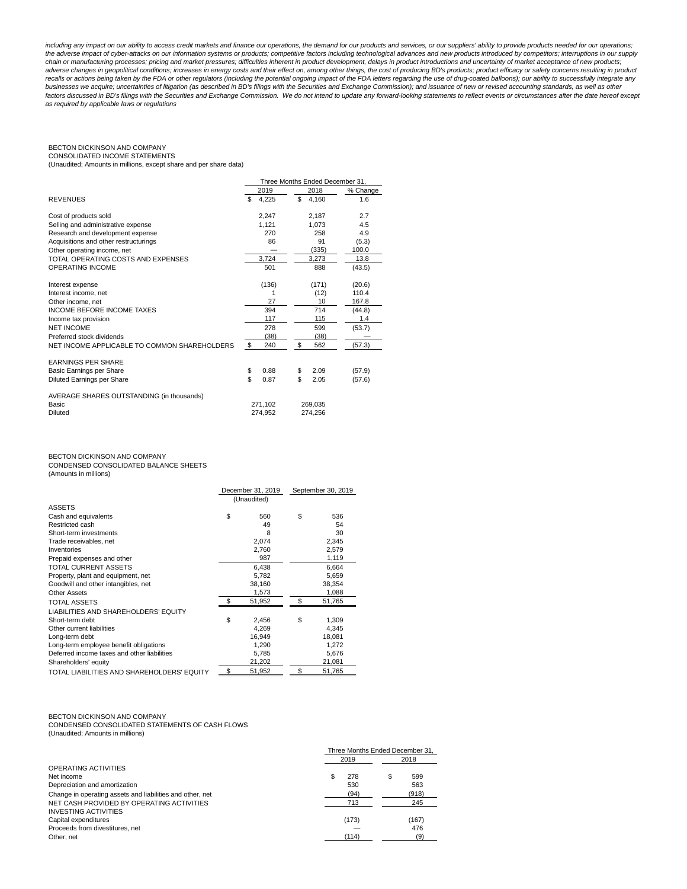including any impact on our ability to access credit markets and finance our operations, the demand for our products and services, or our suppliers' ability to provide products needed for our operations; the adverse impact of cyber-attacks on our information systems or products; competitive factors including technological advances and new products introduced by competitors; interruptions in our supply chain or manufacturing processes; pricing and market pressures; difficulties inherent in product development, delays in product introductions and uncertainty of market acceptance of new products; adverse changes in geopolitical conditions; increases in energy costs and their effect on, among other things, the cost of producing BD's products; product efficacy or safety concerns resulting in product product product a factors discussed in BD's filings with the Securities and Exchange Commission. We do not intend to update any forward-looking statements to reflect events or circumstances after the date hereof except as required by applicable laws or regulations

## BECTON DICKINSON AND COMPANY CONSOLIDATED INCOME STATEMENTS

(Unaudited; Amounts in millions, except share and per share data)

|                                                                      | Three Months Ended December 31, |       |    |                    |        |          |
|----------------------------------------------------------------------|---------------------------------|-------|----|--------------------|--------|----------|
|                                                                      | 2019                            |       |    | 2018               |        | % Change |
| <b>REVENUES</b>                                                      | \$                              | 4,225 | \$ | 4.160              |        | 1.6      |
| Cost of products sold                                                |                                 | 2.247 |    | 2.187              |        | 2.7      |
| Selling and administrative expense                                   |                                 | 1.121 |    | 1.073              |        | 4.5      |
| Research and development expense                                     |                                 | 270   |    | 258                |        | 4.9      |
| Acquisitions and other restructurings                                |                                 | 86    |    | 91                 |        | (5.3)    |
| Other operating income, net                                          |                                 |       |    | (335)              | 100.0  |          |
| TOTAL OPERATING COSTS AND EXPENSES                                   |                                 | 3,724 |    | 3,273              |        | 13.8     |
| <b>OPERATING INCOME</b>                                              |                                 | 501   |    | 888                | (43.5) |          |
| Interest expense                                                     |                                 | (136) |    | (171)              | (20.6) |          |
| Interest income, net                                                 |                                 | 1     |    | (12)               | 110.4  |          |
| Other income, net                                                    |                                 | 27    |    | 10                 | 167.8  |          |
| <b>INCOME BEFORE INCOME TAXES</b>                                    |                                 | 394   |    | 714                | (44.8) |          |
| Income tax provision                                                 |                                 | 117   |    | 115                |        | 1.4      |
| <b>NET INCOME</b>                                                    |                                 | 278   |    | 599                | (53.7) |          |
| Preferred stock dividends                                            |                                 | (38)  |    | (38)               |        |          |
| NET INCOME APPLICABLE TO COMMON SHAREHOLDERS                         | \$                              | 240   | \$ | 562                | (57.3) |          |
| <b>EARNINGS PER SHARE</b>                                            |                                 |       |    |                    |        |          |
| Basic Earnings per Share                                             | \$                              | 0.88  | \$ | 2.09               | (57.9) |          |
| Diluted Earnings per Share                                           | \$                              | 0.87  | \$ | 2.05               | (57.6) |          |
| AVERAGE SHARES OUTSTANDING (in thousands)<br><b>Basic</b><br>Diluted | 271,102<br>274,952              |       |    | 269.035<br>274,256 |        |          |
|                                                                      |                                 |       |    |                    |        |          |

# BECTON DICKINSON AND COMPANY

CONDENSED CONSOLIDATED BALANCE SHEETS (Amounts in millions)

|                                             | December 31, 2019<br>(Unaudited) |        | September 30, 2019 |        |
|---------------------------------------------|----------------------------------|--------|--------------------|--------|
| <b>ASSETS</b>                               |                                  |        |                    |        |
| Cash and equivalents                        | \$                               | 560    | \$                 | 536    |
| Restricted cash                             |                                  | 49     |                    | 54     |
| Short-term investments                      |                                  | 8      |                    | 30     |
| Trade receivables, net                      |                                  | 2,074  |                    | 2,345  |
| Inventories                                 |                                  | 2.760  |                    | 2.579  |
| Prepaid expenses and other                  |                                  | 987    |                    | 1,119  |
| <b>TOTAL CURRENT ASSETS</b>                 |                                  | 6,438  |                    | 6.664  |
| Property, plant and equipment, net          |                                  | 5,782  |                    | 5.659  |
| Goodwill and other intangibles, net         |                                  | 38,160 |                    | 38,354 |
| Other Assets                                |                                  | 1,573  |                    | 1,088  |
| <b>TOTAL ASSETS</b>                         |                                  | 51,952 |                    | 51,765 |
| LIABILITIES AND SHAREHOLDERS' EQUITY        |                                  |        |                    |        |
| Short-term debt                             | \$                               | 2,456  | \$.                | 1,309  |
| Other current liabilities                   |                                  | 4,269  |                    | 4.345  |
| Long-term debt                              |                                  | 16,949 |                    | 18,081 |
| Long-term employee benefit obligations      |                                  | 1,290  |                    | 1,272  |
| Deferred income taxes and other liabilities |                                  | 5,785  |                    | 5,676  |
| Shareholders' equity                        |                                  | 21,202 |                    | 21,081 |
| TOTAL LIABILITIES AND SHAREHOLDERS' EQUITY  |                                  | 51,952 |                    | 51,765 |

### BECTON DICKINSON AND COMPANY CONDENSED CONSOLIDATED STATEMENTS OF CASH FLOWS (Unaudited; Amounts in millions)

|                                                           | Three Months Ended December 31. |       |   |       |  |
|-----------------------------------------------------------|---------------------------------|-------|---|-------|--|
|                                                           | 2019                            |       |   | 2018  |  |
| OPERATING ACTIVITIES                                      |                                 |       |   |       |  |
| Net income                                                |                                 | 278   | S | 599   |  |
| Depreciation and amortization                             |                                 | 530   |   | 563   |  |
| Change in operating assets and liabilities and other, net |                                 | (94)  |   | (918) |  |
| NET CASH PROVIDED BY OPERATING ACTIVITIES                 |                                 | 713   |   | 245   |  |
| <b>INVESTING ACTIVITIES</b>                               |                                 |       |   |       |  |
| Capital expenditures                                      |                                 | (173) |   | (167) |  |
| Proceeds from divestitures, net                           |                                 |       |   | 476   |  |
| Other, net                                                |                                 | (114) |   | (9)   |  |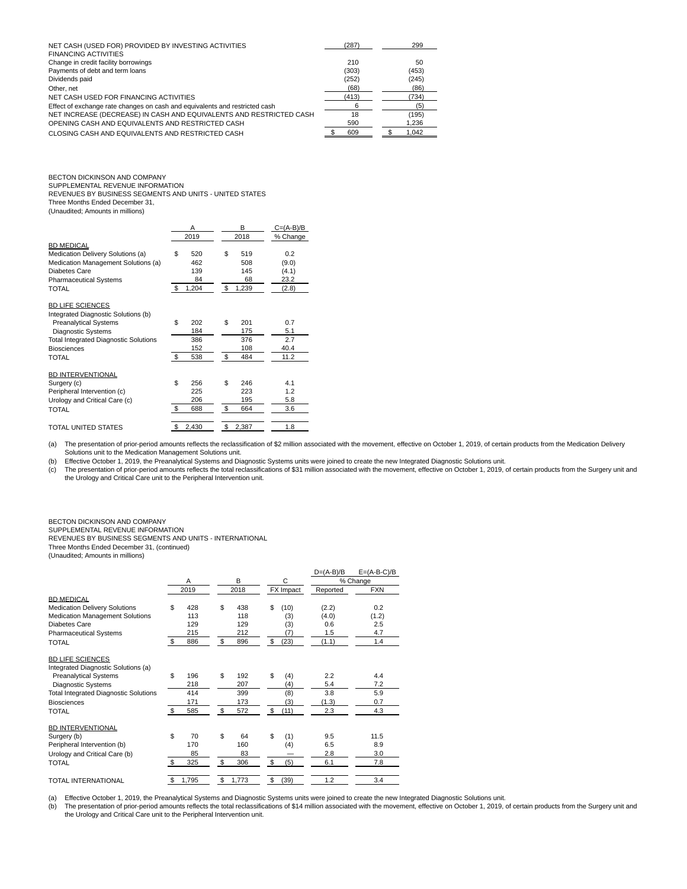| NET CASH (USED FOR) PROVIDED BY INVESTING ACTIVITIES                        | (287) | 299   |
|-----------------------------------------------------------------------------|-------|-------|
| <b>FINANCING ACTIVITIES</b>                                                 |       |       |
| Change in credit facility borrowings                                        | 210   | 50    |
| Payments of debt and term loans                                             | (303) | (453) |
| Dividends paid                                                              | (252) | (245) |
| Other, net                                                                  | (68)  | (86)  |
| NET CASH USED FOR FINANCING ACTIVITIES                                      | (413) | (734) |
| Effect of exchange rate changes on cash and equivalents and restricted cash |       | (5)   |
| NET INCREASE (DECREASE) IN CASH AND EQUIVALENTS AND RESTRICTED CASH         | 18    | (195) |
| OPENING CASH AND EQUIVALENTS AND RESTRICTED CASH                            | 590   | 1.236 |
| CLOSING CASH AND EQUIVALENTS AND RESTRICTED CASH                            | 609   | 1.042 |

# BECTON DICKINSON AND COMPANY

SUPPLEMENTAL REVENUE INFORMATION REVENUES BY BUSINESS SEGMENTS AND UNITS - UNITED STATES Three Months Ended December 31,

(Unaudited; Amounts in millions)

|                                              |    | Α     | в           | $C = (A-B)/B$ |
|----------------------------------------------|----|-------|-------------|---------------|
|                                              |    | 2019  | 2018        | % Change      |
| <b>BD MEDICAL</b>                            |    |       |             |               |
| Medication Delivery Solutions (a)            | \$ | 520   | \$<br>519   | 0.2           |
| Medication Management Solutions (a)          |    | 462   | 508         | (9.0)         |
| Diabetes Care                                |    | 139   | 145         | (4.1)         |
| <b>Pharmaceutical Systems</b>                |    | 84    | 68          | 23.2          |
| TOTAL                                        | -S | 1,204 | \$<br>1,239 | (2.8)         |
|                                              |    |       |             |               |
| <b>BD LIFE SCIENCES</b>                      |    |       |             |               |
| Integrated Diagnostic Solutions (b)          |    |       |             |               |
| <b>Preanalytical Systems</b>                 | \$ | 202   | \$<br>201   | 0.7           |
|                                              |    |       |             |               |
| Diagnostic Systems                           |    | 184   | 175         | 5.1           |
| <b>Total Integrated Diagnostic Solutions</b> |    | 386   | 376         | 2.7           |
| <b>Biosciences</b>                           |    | 152   | 108         | 40.4          |
| TOTAL                                        | \$ | 538   | \$<br>484   | 11.2          |
|                                              |    |       |             |               |
| <b>BD INTERVENTIONAL</b>                     |    |       |             |               |
| Surgery (c)                                  | \$ | 256   | \$<br>246   | 4.1           |
| Peripheral Intervention (c)                  |    | 225   | 223         | 1.2           |
| Urology and Critical Care (c)                |    | 206   | 195         | 5.8           |
| <b>TOTAL</b>                                 | \$ | 688   | \$<br>664   | 3.6           |
|                                              |    |       |             |               |
| <b>TOTAL UNITED STATES</b>                   | \$ | 2,430 | \$<br>2,387 | 1.8           |

(a) The presentation of prior-period amounts reflects the reclassification of \$2 million associated with the movement, effective on October 1, 2019, of certain products from the Medication Delivery Solutions unit to the Medication Management Solutions unit.

(b) Effective October 1, 2019, the Preanalytical Systems and Diagnostic Systems units were joined to create the new Integrated Diagnostic Solutions unit.

c) The presentation of prior-period amounts reflects the total reclassifications of \$31 million associated with the movement, effective on October 1, 2019, of certain products from the Surgery unit and<br>the Urology and Crit

# BECTON DICKINSON AND COMPANY

SUPPLEMENTAL REVENUE INFORMATION

REVENUES BY BUSINESS SEGMENTS AND UNITS - INTERNATIONAL

Three Months Ended December 31, (continued)

| (Unaudited; Amounts in millions) |  |  |  |
|----------------------------------|--|--|--|
|----------------------------------|--|--|--|

|                                              |                |       |    |       |    |      | $D=(A-B)/B$ | $E=(A-B-C)/B$ |  |  |  |           |          |            |
|----------------------------------------------|----------------|-------|----|-------|----|------|-------------|---------------|--|--|--|-----------|----------|------------|
|                                              |                | A     |    | B     |    | C    |             | % Change      |  |  |  |           |          |            |
|                                              |                | 2019  |    | 2018  |    |      |             |               |  |  |  | FX Impact | Reported | <b>FXN</b> |
| <b>BD MEDICAL</b>                            |                |       |    |       |    |      |             |               |  |  |  |           |          |            |
| <b>Medication Delivery Solutions</b>         | \$             | 428   | \$ | 438   | \$ | (10) | (2.2)       | 0.2           |  |  |  |           |          |            |
| Medication Management Solutions              |                | 113   |    | 118   |    | (3)  | (4.0)       | (1.2)         |  |  |  |           |          |            |
| Diabetes Care                                |                | 129   |    | 129   |    | (3)  | 0.6         | 2.5           |  |  |  |           |          |            |
| <b>Pharmaceutical Systems</b>                |                | 215   |    | 212   |    | (7)  | 1.5         | 4.7           |  |  |  |           |          |            |
| <b>TOTAL</b>                                 | \$             | 886   | \$ | 896   | \$ | (23) | (1.1)       | 1.4           |  |  |  |           |          |            |
| <b>BD LIFE SCIENCES</b>                      |                |       |    |       |    |      |             |               |  |  |  |           |          |            |
| Integrated Diagnostic Solutions (a)          |                |       |    |       |    |      |             |               |  |  |  |           |          |            |
| <b>Preanalytical Systems</b>                 | \$             | 196   | \$ | 192   | \$ | (4)  | 2.2         | 4.4           |  |  |  |           |          |            |
| <b>Diagnostic Systems</b>                    |                | 218   |    | 207   |    | (4)  | 5.4         | 7.2           |  |  |  |           |          |            |
| <b>Total Integrated Diagnostic Solutions</b> |                | 414   |    | 399   |    | (8)  | 3.8         | 5.9           |  |  |  |           |          |            |
| <b>Biosciences</b>                           |                | 171   |    | 173   |    | (3)  | (1.3)       | 0.7           |  |  |  |           |          |            |
| <b>TOTAL</b>                                 | \$             | 585   | \$ | 572   | \$ | (11) | 2.3         | 4.3           |  |  |  |           |          |            |
| <b>BD INTERVENTIONAL</b>                     |                |       |    |       |    |      |             |               |  |  |  |           |          |            |
| Surgery (b)                                  | \$             | 70    | \$ | 64    | \$ | (1)  | 9.5         | 11.5          |  |  |  |           |          |            |
| Peripheral Intervention (b)                  |                | 170   |    | 160   |    | (4)  | 6.5         | 8.9           |  |  |  |           |          |            |
| Urology and Critical Care (b)                |                | 85    |    | 83    |    |      | 2.8         | 3.0           |  |  |  |           |          |            |
| <b>TOTAL</b>                                 | $\mathfrak{L}$ | 325   | \$ | 306   | \$ | (5)  | 6.1         | 7.8           |  |  |  |           |          |            |
| <b>TOTAL INTERNATIONAL</b>                   | \$             | 1,795 | \$ | 1,773 | \$ | (39) | 1.2         | 3.4           |  |  |  |           |          |            |

(a) Effective October 1, 2019, the Preanalytical Systems and Diagnostic Systems units were joined to create the new Integrated Diagnostic Solutions unit.<br>(b) The presentation of prior-period amounts reflects the total recl

The presentation of prior-period amounts reflects the total reclassifications of \$14 million associated with the movement, effective on October 1, 2019, of certain products from the Surgery unit and the Urology and Critical Care unit to the Peripheral Intervention unit.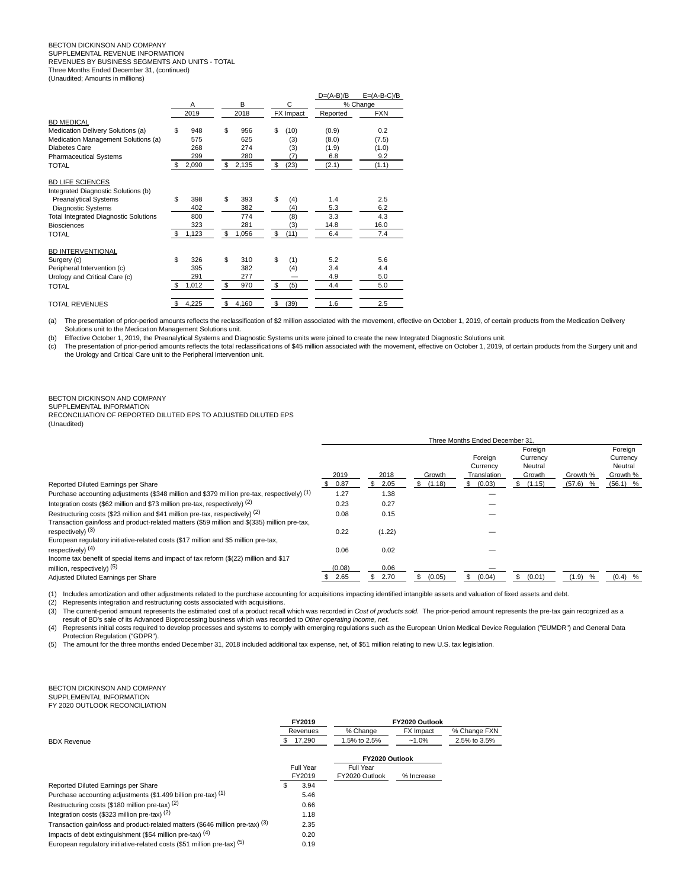## BECTON DICKINSON AND COMPANY SUPPLEMENTAL REVENUE INFORMATION

REVENUES BY BUSINESS SEGMENTS AND UNITS - TOTAL

Three Months Ended December 31, (continued) (Unaudited; Amounts in millions)

|                                              |              |             |            | $D=(A-B)/B$ | $E=(A-B-C)/B$ |  |          |  |  |
|----------------------------------------------|--------------|-------------|------------|-------------|---------------|--|----------|--|--|
|                                              | Α            | B           | C          |             |               |  | % Change |  |  |
|                                              | 2019         | 2018        | FX Impact  | Reported    | <b>FXN</b>    |  |          |  |  |
| <b>BD MEDICAL</b>                            |              |             |            |             |               |  |          |  |  |
| Medication Delivery Solutions (a)            | \$<br>948    | \$<br>956   | \$<br>(10) | (0.9)       | 0.2           |  |          |  |  |
| Medication Management Solutions (a)          | 575          | 625         | (3)        | (8.0)       | (7.5)         |  |          |  |  |
| Diabetes Care                                | 268          | 274         | (3)        | (1.9)       | (1.0)         |  |          |  |  |
| <b>Pharmaceutical Systems</b>                | 299          | 280         | (7)        | 6.8         | 9.2           |  |          |  |  |
| <b>TOTAL</b>                                 | \$<br>2,090  | 2,135<br>\$ | (23)<br>\$ | (2.1)       | (1.1)         |  |          |  |  |
| <b>BD LIFE SCIENCES</b>                      |              |             |            |             |               |  |          |  |  |
| Integrated Diagnostic Solutions (b)          |              |             |            |             |               |  |          |  |  |
| <b>Preanalytical Systems</b>                 | \$<br>398    | \$<br>393   | \$<br>(4)  | 1.4         | 2.5           |  |          |  |  |
| <b>Diagnostic Systems</b>                    | 402          | 382         | (4)        | 5.3         | 6.2           |  |          |  |  |
| <b>Total Integrated Diagnostic Solutions</b> | 800          | 774         | (8)        | 3.3         | 4.3           |  |          |  |  |
| <b>Biosciences</b>                           | 323          | 281         | (3)        | 14.8        | 16.0          |  |          |  |  |
| <b>TOTAL</b>                                 | -S<br>1,123  | \$<br>1,056 | \$<br>(11) | 6.4         | 7.4           |  |          |  |  |
| BD INTERVENTIONAL                            |              |             |            |             |               |  |          |  |  |
| Surgery (c)                                  | \$<br>326    | \$<br>310   | \$<br>(1)  | 5.2         | 5.6           |  |          |  |  |
| Peripheral Intervention (c)                  | 395          | 382         | (4)        | 3.4         | 4.4           |  |          |  |  |
| Urology and Critical Care (c)                | 291          | 277         |            | 4.9         | 5.0           |  |          |  |  |
| <b>TOTAL</b>                                 | \$.<br>1,012 | \$<br>970   | \$<br>(5)  | 4.4         | 5.0           |  |          |  |  |
| <b>TOTAL REVENUES</b>                        | 4,225<br>\$  | \$<br>4,160 | \$<br>(39) | 1.6         | 2.5           |  |          |  |  |

(a) The presentation of prior-period amounts reflects the reclassification of \$2 million associated with the movement, effective on October 1, 2019, of certain products from the Medication Delivery Solutions unit to the Medication Management Solutions unit.

(b) Effective October 1, 2019, the Preanalytical Systems and Diagnostic Systems units were joined to create the new Integrated Diagnostic Solutions unit.

(c) The presentation of prior-period amounts reflects the total reclassifications of \$45 million associated with the movement, effective on October 1, 2019, of certain products from the Surgery unit and the Urology and Critical Care unit to the Peripheral Intervention unit.

BECTON DICKINSON AND COMPANY

SUPPLEMENTAL INFORMATION

RECONCILIATION OF REPORTED DILUTED EPS TO ADJUSTED DILUTED EPS (Unaudited)

| Reported Diluted Earnings per Share                                                                                                                                           | 2019<br>0.87 | 2018<br>2.05 | Growth<br>(1.18) | Foreign<br>Currency<br>Translation<br>(0.03)<br>S | Foreign<br>Currency<br>Neutral<br>Growth<br>(1.15)<br>æ. | Growth %<br>(57.6)<br>% | Foreign<br>Currency<br>Neutral<br>Growth %<br>$(56.1)$ % |
|-------------------------------------------------------------------------------------------------------------------------------------------------------------------------------|--------------|--------------|------------------|---------------------------------------------------|----------------------------------------------------------|-------------------------|----------------------------------------------------------|
| Purchase accounting adjustments (\$348 million and \$379 million pre-tax, respectively) (1)                                                                                   | 1.27         | 1.38         |                  |                                                   |                                                          |                         |                                                          |
| Integration costs (\$62 million and \$73 million pre-tax, respectively) $(2)$                                                                                                 | 0.23         | 0.27         |                  |                                                   |                                                          |                         |                                                          |
| Restructuring costs (\$23 million and \$41 million pre-tax, respectively) (2)<br>Transaction gain/loss and product-related matters (\$59 million and \$(335) million pre-tax, | 0.08         | 0.15         |                  |                                                   |                                                          |                         |                                                          |
| respectively) (3)                                                                                                                                                             | 0.22         | (1.22)       |                  |                                                   |                                                          |                         |                                                          |
| European requlatory initiative-related costs (\$17 million and \$5 million pre-tax,                                                                                           |              |              |                  |                                                   |                                                          |                         |                                                          |
| respectively) $(4)$                                                                                                                                                           | 0.06         | 0.02         |                  |                                                   |                                                          |                         |                                                          |
| Income tax benefit of special items and impact of tax reform (\$(22) million and \$17                                                                                         |              |              |                  |                                                   |                                                          |                         |                                                          |
| million, respectively) (5)                                                                                                                                                    | (0.08)       | 0.06         |                  |                                                   |                                                          |                         |                                                          |
| Adjusted Diluted Earnings per Share                                                                                                                                           | 2.65         | \$2.70       | (0.05)           | (0.04)<br>\$.                                     | (0.01)<br>\$                                             | $(1.9)$ %               | $(0.4)$ %                                                |

Three Months Ended December 31,

(1) Includes amortization and other adjustments related to the purchase accounting for acquisitions impacting identified intangible assets and valuation of fixed assets and debt.

(2) Represents integration and restructuring costs associated with acquisitions.

(3) The current-period amount represents the estimated cost of a product recall which was recorded in Cost of products sold. The prior-period amount represents the pre-tax gain recognized as a result of BD's sale of its Advanced Bioprocessing business which was recorded to Other operating income, net.

(4) Represents initial costs required to develop processes and systems to comply with emerging regulations such as the European Union Medical Device Regulation ("EUMDR") and General Data Protection Regulation ("GDPR").

(5) The amount for the three months ended December 31, 2018 included additional tax expense, net, of \$51 million relating to new U.S. tax legislation.

## BECTON DICKINSON AND COMPANY SUPPLEMENTAL INFORMATION

FY 2020 OUTLOOK RECONCILIATION

|                                                                               | FY2019 |           | FY2020 Outlook |                  |              |
|-------------------------------------------------------------------------------|--------|-----------|----------------|------------------|--------------|
|                                                                               |        | Revenues  | % Change       | <b>FX</b> Impact | % Change FXN |
| <b>BDX Revenue</b>                                                            | Ж.     | 17,290    | 1.5% to 2.5%   | $-1.0%$          | 2.5% to 3.5% |
|                                                                               |        |           | FY2020 Outlook |                  |              |
|                                                                               |        | Full Year | Full Year      |                  |              |
|                                                                               |        | FY2019    | FY2020 Outlook | % Increase       |              |
| Reported Diluted Earnings per Share                                           |        | 3.94      |                |                  |              |
| Purchase accounting adjustments (\$1.499 billion pre-tax) (1)                 |        | 5.46      |                |                  |              |
| Restructuring costs (\$180 million pre-tax) (2)                               |        | 0.66      |                |                  |              |
| Integration costs (\$323 million pre-tax) $(2)$                               |        | 1.18      |                |                  |              |
| Transaction gain/loss and product-related matters (\$646 million pre-tax) (3) |        | 2.35      |                |                  |              |
| Impacts of debt extinguishment (\$54 million pre-tax) $(4)$                   |        | 0.20      |                |                  |              |
| European regulatory initiative-related costs (\$51 million pre-tax) (5)       |        | 0.19      |                |                  |              |